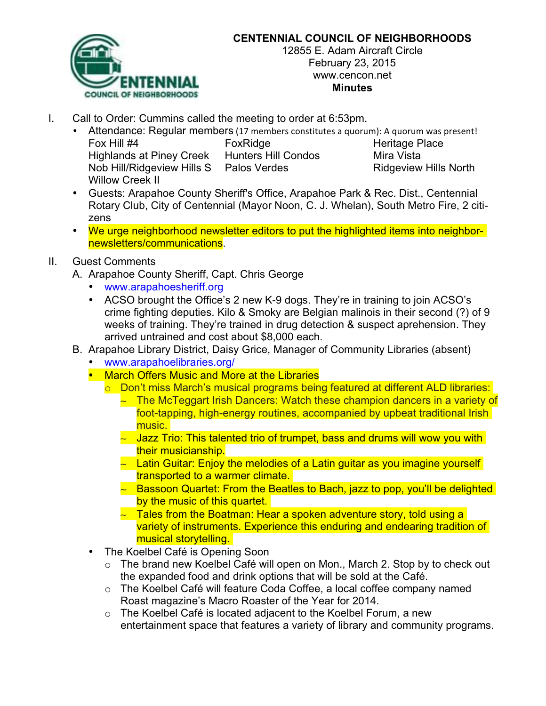

## **CENTENNIAL COUNCIL OF NEIGHBORHOODS**

12855 E. Adam Aircraft Circle February 23, 2015 www.cencon.net **Minutes**

- I. Call to Order: Cummins called the meeting to order at 6:53pm.
	- Attendance: Regular members (17 members constitutes a quorum): A quorum was present!
		- Fox Hill #4 FoxRidge Fore Heritage Place Highlands at Piney Creek Hunters Hill Condos Mira Vista Nob Hill/Ridgeview Hills S Palos Verdes Ridgeview Hills North Willow Creek II
		- Guests: Arapahoe County Sheriff's Office, Arapahoe Park & Rec. Dist., Centennial Rotary Club, City of Centennial (Mayor Noon, C. J. Whelan), South Metro Fire, 2 citizens
		- We urge neighborhood newsletter editors to put the highlighted items into neighbornewsletters/communications.

## II. Guest Comments

A. Arapahoe County Sheriff, Capt. Chris George

- www.arapahoesheriff.org
- ACSO brought the Office's 2 new K-9 dogs. They're in training to join ACSO's crime fighting deputies. Kilo & Smoky are Belgian malinois in their second (?) of 9 weeks of training. They're trained in drug detection & suspect aprehension. They arrived untrained and cost about \$8,000 each.
- B. Arapahoe Library District, Daisy Grice, Manager of Community Libraries (absent)
	- www.arapahoelibraries.org/
	- March Offers Music and More at the Libraries
		- o Don't miss March's musical programs being featured at different ALD libraries:
			- $\sim$  The McTeggart Irish Dancers: Watch these champion dancers in a variety of foot-tapping, high-energy routines, accompanied by upbeat traditional Irish music.
			- $\sim$  Jazz Trio: This talented trio of trumpet, bass and drums will wow you with their musicianship.
			- $\sim$  Latin Guitar: Enjoy the melodies of a Latin guitar as you imagine yourself transported to a warmer climate.
			- Bassoon Quartet: From the Beatles to Bach, jazz to pop, you'll be delighted by the music of this quartet.
			- $\sim$  Tales from the Boatman: Hear a spoken adventure story, told using a variety of instruments. Experience this enduring and endearing tradition of musical storytelling.
	- The Koelbel Café is Opening Soon
		- o The brand new Koelbel Café will open on Mon., March 2. Stop by to check out the expanded food and drink options that will be sold at the Café.
		- o The Koelbel Café will feature Coda Coffee, a local coffee company named Roast magazine's Macro Roaster of the Year for 2014.
		- o The Koelbel Café is located adjacent to the Koelbel Forum, a new entertainment space that features a variety of library and community programs.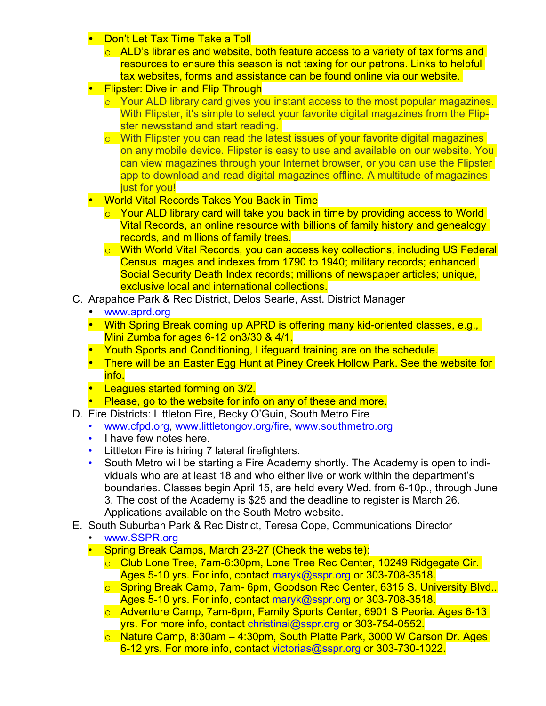- **Don't Let Tax Time Take a Toll** 
	- $\circ$  ALD's libraries and website, both feature access to a variety of tax forms and resources to ensure this season is not taxing for our patrons. Links to helpful tax websites, forms and assistance can be found online via our website.
- **Flipster: Dive in and Flip Through** 
	- o Your ALD library card gives you instant access to the most popular magazines. With Flipster, it's simple to select your favorite digital magazines from the Flipster newsstand and start reading.
	- $\circ$  With Flipster you can read the latest issues of your favorite digital magazines on any mobile device. Flipster is easy to use and available on our website. You can view magazines through your Internet browser, or you can use the Flipster app to download and read digital magazines offline. A multitude of magazines just for you!
- World Vital Records Takes You Back in Time
	- o Your ALD library card will take you back in time by providing access to World Vital Records, an online resource with billions of family history and genealogy records, and millions of family trees.
	- o With World Vital Records, you can access key collections, including US Federal Census images and indexes from 1790 to 1940; military records; enhanced Social Security Death Index records; millions of newspaper articles; unique, exclusive local and international collections.
- C. Arapahoe Park & Rec District, Delos Searle, Asst. District Manager
	- www.aprd.org
	- With Spring Break coming up APRD is offering many kid-oriented classes, e.g., Mini Zumba for ages 6-12 on 3/30 & 4/1.
	- Youth Sports and Conditioning, Lifeguard training are on the schedule.
	- There will be an Easter Egg Hunt at Piney Creek Hollow Park. See the website for info.
	- Leagues started forming on 3/2.
	- Please, go to the website for info on any of these and more.
- D. Fire Districts: Littleton Fire, Becky O'Guin, South Metro Fire
	- www.cfpd.org, www.littletongov.org/fire, www.southmetro.org
	- I have few notes here.
	- Littleton Fire is hiring 7 lateral firefighters.
	- South Metro will be starting a Fire Academy shortly. The Academy is open to individuals who are at least 18 and who either live or work within the department's boundaries. Classes begin April 15, are held every Wed. from 6-10p., through June 3. The cost of the Academy is \$25 and the deadline to register is March 26. Applications available on the South Metro website.
- E. South Suburban Park & Rec District, Teresa Cope, Communications Director
	- www.SSPR.org
	- Spring Break Camps, March 23-27 (Check the website):
		- o Club Lone Tree, 7am-6:30pm, Lone Tree Rec Center, 10249 Ridgegate Cir. Ages 5-10 yrs. For info, contact maryk@sspr.org or 303-708-3518.
		- o Spring Break Camp, 7am- 6pm, Goodson Rec Center, 6315 S. University Blvd.. Ages 5-10 yrs. For info, contact maryk@sspr.org or 303-708-3518.
		- o Adventure Camp, 7am-6pm, Family Sports Center, 6901 S Peoria. Ages 6-13 yrs. For more info, contact christinai@sspr.org or 303-754-0552.
		- o Nature Camp, 8:30am 4:30pm, South Platte Park, 3000 W Carson Dr. Ages 6-12 yrs. For more info, contact victorias@sspr.org or 303-730-1022.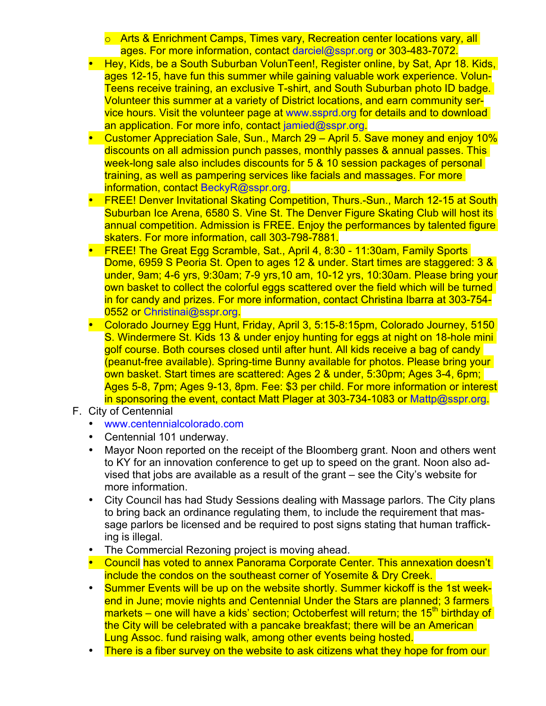- o Arts & Enrichment Camps, Times vary, Recreation center locations vary, all ages. For more information, contact darciel@sspr.org or 303-483-7072.
- Hey, Kids, be a South Suburban VolunTeen!, Register online, by Sat, Apr 18. Kids, ages 12-15, have fun this summer while gaining valuable work experience. Volun-Teens receive training, an exclusive T-shirt, and South Suburban photo ID badge. Volunteer this summer at a variety of District locations, and earn community service hours. Visit the volunteer page at www.ssprd.org for details and to download an application. For more info, contact jamied@sspr.org.
- Customer Appreciation Sale, Sun., March 29 April 5. Save money and enjoy 10% discounts on all admission punch passes, monthly passes & annual passes. This week-long sale also includes discounts for 5 & 10 session packages of personal training, as well as pampering services like facials and massages. For more information, contact BeckyR@sspr.org.
- FREE! Denver Invitational Skating Competition, Thurs.-Sun., March 12-15 at South Suburban Ice Arena, 6580 S. Vine St. The Denver Figure Skating Club will host its annual competition. Admission is FREE. Enjoy the performances by talented figure skaters. For more information, call 303-798-7881.
- FREE! The Great Egg Scramble, Sat., April 4, 8:30 11:30am, Family Sports Dome, 6959 S Peoria St. Open to ages 12 & under. Start times are staggered: 3 & under, 9am; 4-6 yrs, 9:30am; 7-9 yrs,10 am, 10-12 yrs, 10:30am. Please bring your own basket to collect the colorful eggs scattered over the field which will be turned in for candy and prizes. For more information, contact Christina Ibarra at 303-754- 0552 or Christinai@sspr.org.
- Colorado Journey Egg Hunt, Friday, April 3, 5:15-8:15pm, Colorado Journey, 5150 S. Windermere St. Kids 13 & under enjoy hunting for eggs at night on 18-hole mini golf course. Both courses closed until after hunt. All kids receive a bag of candy (peanut-free available). Spring-time Bunny available for photos. Please bring your own basket. Start times are scattered: Ages 2 & under, 5:30pm; Ages 3-4, 6pm; Ages 5-8, 7pm; Ages 9-13, 8pm. Fee: \$3 per child. For more information or interest in sponsoring the event, contact Matt Plager at 303-734-1083 or Mattp@sspr.org.
- F. City of Centennial
	- www.centennialcolorado.com
	- Centennial 101 underway.
	- Mayor Noon reported on the receipt of the Bloomberg grant. Noon and others went to KY for an innovation conference to get up to speed on the grant. Noon also advised that jobs are available as a result of the grant – see the City's website for more information.
	- City Council has had Study Sessions dealing with Massage parlors. The City plans to bring back an ordinance regulating them, to include the requirement that massage parlors be licensed and be required to post signs stating that human trafficking is illegal.
	- The Commercial Rezoning project is moving ahead.
	- Council has voted to annex Panorama Corporate Center. This annexation doesn't include the condos on the southeast corner of Yosemite & Dry Creek.
	- Summer Events will be up on the website shortly. Summer kickoff is the 1st weekend in June; movie nights and Centennial Under the Stars are planned; 3 farmers markets – one will have a kids' section; Octoberfest will return; the 15<sup>th</sup> birthday of the City will be celebrated with a pancake breakfast; there will be an American Lung Assoc. fund raising walk, among other events being hosted.
	- There is a fiber survey on the website to ask citizens what they hope for from our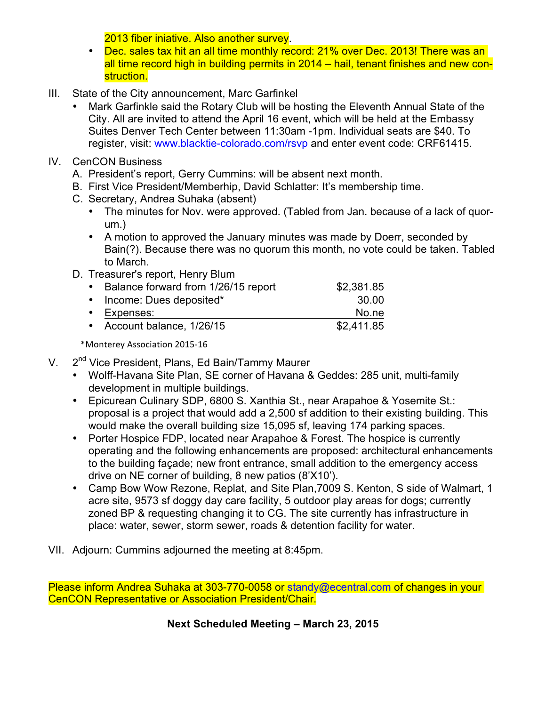2013 fiber iniative. Also another survey.

- Dec. sales tax hit an all time monthly record: 21% over Dec. 2013! There was an all time record high in building permits in 2014 – hail, tenant finishes and new construction.
- III. State of the City announcement, Marc Garfinkel
	- Mark Garfinkle said the Rotary Club will be hosting the Eleventh Annual State of the City. All are invited to attend the April 16 event, which will be held at the Embassy Suites Denver Tech Center between 11:30am -1pm. Individual seats are \$40. To register, visit: www.blacktie-colorado.com/rsvp and enter event code: CRF61415.
- IV. CenCON Business
	- A. President's report, Gerry Cummins: will be absent next month.
	- B. First Vice President/Memberhip, David Schlatter: It's membership time.
	- C. Secretary, Andrea Suhaka (absent)
		- The minutes for Nov. were approved. (Tabled from Jan. because of a lack of quorum.)
		- A motion to approved the January minutes was made by Doerr, seconded by Bain(?). Because there was no quorum this month, no vote could be taken. Tabled to March.
	- D. Treasurer's report, Henry Blum

| • Balance forward from 1/26/15 report | \$2,381.85 |
|---------------------------------------|------------|
| • Income: Dues deposited*             | 30.00      |
| • Expenses:                           | No.ne      |
| • Account balance, 1/26/15            | \$2,411.85 |

\*Monterey Association 2015-16

- V. 2<sup>nd</sup> Vice President, Plans, Ed Bain/Tammy Maurer
	- Wolff-Havana Site Plan, SE corner of Havana & Geddes: 285 unit, multi-family development in multiple buildings.
	- Epicurean Culinary SDP, 6800 S. Xanthia St., near Arapahoe & Yosemite St.: proposal is a project that would add a 2,500 sf addition to their existing building. This would make the overall building size 15,095 sf, leaving 174 parking spaces.
	- Porter Hospice FDP, located near Arapahoe & Forest. The hospice is currently operating and the following enhancements are proposed: architectural enhancements to the building façade; new front entrance, small addition to the emergency access drive on NE corner of building, 8 new patios (8'X10').
	- Camp Bow Wow Rezone, Replat, and Site Plan,7009 S. Kenton, S side of Walmart, 1 acre site, 9573 sf doggy day care facility, 5 outdoor play areas for dogs; currently zoned BP & requesting changing it to CG. The site currently has infrastructure in place: water, sewer, storm sewer, roads & detention facility for water.
- VII. Adjourn: Cummins adjourned the meeting at 8:45pm.

Please inform Andrea Suhaka at 303-770-0058 or standy@ecentral.com of changes in your CenCON Representative or Association President/Chair.

**Next Scheduled Meeting – March 23, 2015**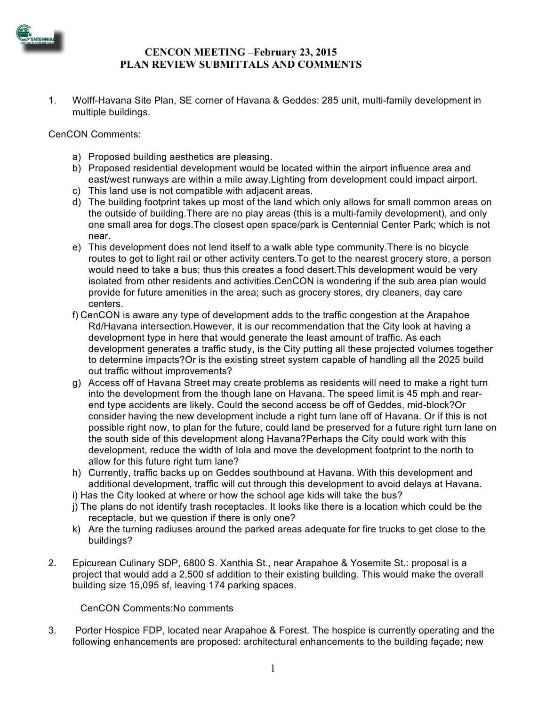

## **CENCON MEETING –February 23, 2015 PLAN REVIEW SUBMITTALS AND COMMENTS**

1. Wolff-Havana Site Plan, SE corner of Havana & Geddes: 285 unit, multi-family development in multiple buildings.

CenCON Comments:

- a) Proposed building aesthetics are pleasing.
- b) Proposed residential development would be located within the airport influence area and east/west runways are within a mile away.Lighting from development could impact airport.
- c) This land use is not compatible with adjacent areas.
- d) The building footprint takes up most of the land which only allows for small common areas on the outside of building.There are no play areas (this is a multi-family development), and only one small area for dogs.The closest open space/park is Centennial Center Park; which is not near.
- e) This development does not lend itself to a walk able type community.There is no bicycle routes to get to light rail or other activity centers.To get to the nearest grocery store, a person would need to take a bus; thus this creates a food desert.This development would be very isolated from other residents and activities.CenCON is wondering if the sub area plan would provide for future amenities in the area; such as grocery stores, dry cleaners, day care centers.
- f) CenCON is aware any type of development adds to the traffic congestion at the Arapahoe Rd/Havana intersection.However, it is our recommendation that the City look at having a development type in here that would generate the least amount of traffic. As each development generates a traffic study, is the City putting all these projected volumes together to determine impacts?Or is the existing street system capable of handling all the 2025 build out traffic without improvements?
- g) Access off of Havana Street may create problems as residents will need to make a right turn into the development from the though lane on Havana. The speed limit is 45 mph and rearend type accidents are likely. Could the second access be off of Geddes, mid-block?Or consider having the new development include a right turn lane off of Havana. Or if this is not possible right now, to plan for the future, could land be preserved for a future right turn lane on the south side of this development along Havana?Perhaps the City could work with this development, reduce the width of Iola and move the development footprint to the north to allow for this future right turn lane?
- h) Currently, traffic backs up on Geddes southbound at Havana. With this development and additional development, traffic will cut through this development to avoid delays at Havana.
- i) Has the City looked at where or how the school age kids will take the bus?
- j) The plans do not identify trash receptacles. It looks like there is a location which could be the receptacle, but we question if there is only one?
- k) Are the turning radiuses around the parked areas adequate for fire trucks to get close to the buildings?
- 2. Epicurean Culinary SDP, 6800 S. Xanthia St., near Arapahoe & Yosemite St.: proposal is a project that would add a 2,500 sf addition to their existing building. This would make the overall building size 15,095 sf, leaving 174 parking spaces.

CenCON Comments:No comments

3. Porter Hospice FDP, located near Arapahoe & Forest. The hospice is currently operating and the following enhancements are proposed: architectural enhancements to the building façade; new